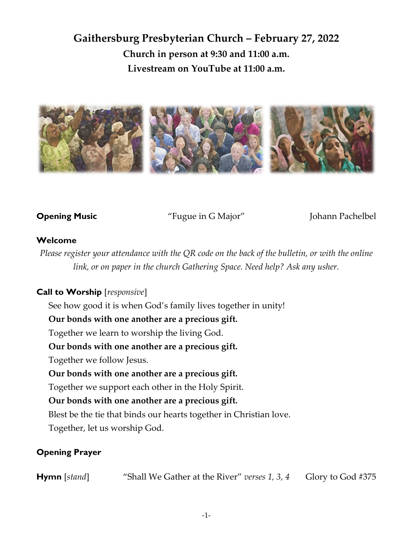# **Gaithersburg Presbyterian Church – February 27, 2022 Church in person at 9:30 and 11:00 a.m. Livestream on YouTube at 11:00 a.m.**



**Opening Music** "Fugue in G Major" Johann Pachelbel

## **Welcome**

*Please register your attendance with the QR code on the back of the bulletin, or with the online*  link, or on paper in the church Gathering Space. Need help? Ask any usher.

## **Call to Worship** [*responsive*]

See how good it is when God's family lives together in unity!

**Our bonds with one another are a precious gift.**

Together we learn to worship the living God.

**Our bonds with one another are a precious gift.**

Together we follow Jesus.

**Our bonds with one another are a precious gift.**

Together we support each other in the Holy Spirit.

**Our bonds with one another are a precious gift.**

Blest be the tie that binds our hearts together in Christian love.

Together, let us worship God.

## **Opening Prayer**

**Hymn** [*stand*] "Shall We Gather at the River" *verses 1, 3, 4* Glory to God #375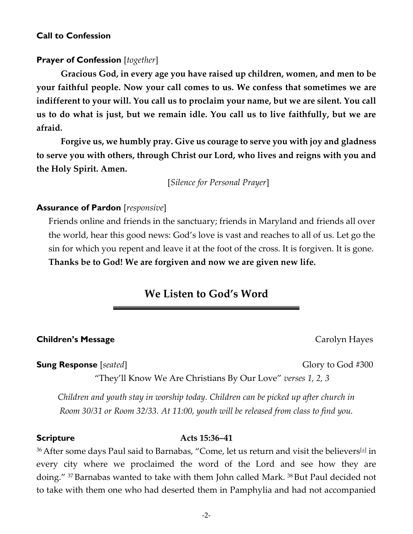## **Call to Confession**

## **Prayer of Confession** [*together*]

**Gracious God, in every age you have raised up children, women, and men to be your faithful people. Now your call comes to us. We confess that sometimes we are indifferent to your will. You call us to proclaim your name, but we are silent. You call us to do what is just, but we remain idle. You call us to live faithfully, but we are afraid.**

**Forgive us, we humbly pray. Give us courage to serve you with joy and gladness to serve you with others, through Christ our Lord, who lives and reigns with you and the Holy Spirit. Amen.** 

[*Silence for Personal Prayer*]

## **Assurance of Pardon** [*responsive*]

Friends online and friends in the sanctuary; friends in Maryland and friends all over the world, hear this good news: God's love is vast and reaches to all of us. Let go the sin for which you repent and leave it at the foot of the cross. It is forgiven. It is gone. **Thanks be to God! We are forgiven and now we are given new life.**

# **We Listen to God's Word**

## **Children's Message** Carolyn Hayes

**Sung Response** [*seated*] Glory to God #300

"They'll Know We Are Christians By Our Love" *verses 1, 2, 3*

*Children and youth stay in worship today. Children can be picked up after church in Room 30/31 or Room 32/33. At 11:00, youth will be released from class to find you.*

### **Scripture Acts 15:36–41**

 $^{36}\rm{After}$  some days Paul said to Barnabas, "Come, let us return and visit the believers $^{\rm{[a]}}$  $^{\rm{[a]}}$  $^{\rm{[a]}}$  in every city where we proclaimed the word of the Lord and see how they are doing." <sup>37</sup> Barnabas wanted to take with them John called Mark. <sup>38</sup> But Paul decided not to take with them one who had deserted them in Pamphylia and had not accompanied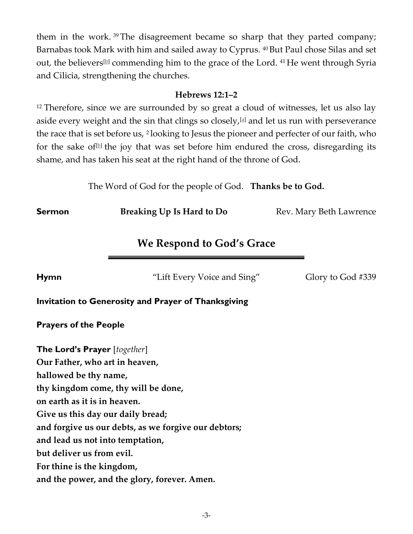them in the work.<sup>39</sup> The disagreement became so sharp that they parted company; Barnabas took Mark with him and sailed away to Cyprus. <sup>40</sup> But Paul chose Silas and set out, the believers<sup>[\[b\]](https://www.biblegateway.com/passage/?search=Acts+15%3A36-41&version=NRSV#_blank)</sup> commending him to the grace of the Lord.  $41$  He went through Syria and Cilicia, strengthening the churches.

## **Hebrews 12:1–2**

 $12$  Therefore, since we are surrounded by so great a cloud of witnesses, let us also lay aside every weight and the sin that clings so closely, $[$  $]$  and let us run with perseverance the race that is set before us, <sup>2</sup> looking to Jesus the pioneer and perfecter of our faith, who for the sake of $\mathbb D$  the joy that was set before him endured the cross, disregarding its shame, and has taken his seat at the right hand of the throne of God.

The Word of God for the people of God. **Thanks be to God.**

**Sermon Breaking Up Is Hard to Do** Rev. Mary Beth Lawrence

# **We Respond to God's Grace**

**Hymn** "Lift Every Voice and Sing" Glory to God #339

## **Invitation to Generosity and Prayer of Thanksgiving**

**Prayers of the People** 

**The Lord's Prayer** [*together*] **Our Father, who art in heaven, hallowed be thy name, thy kingdom come, thy will be done, on earth as it is in heaven. Give us this day our daily bread; and forgive us our debts, as we forgive our debtors; and lead us not into temptation, but deliver us from evil. For thine is the kingdom, and the power, and the glory, forever. Amen.**